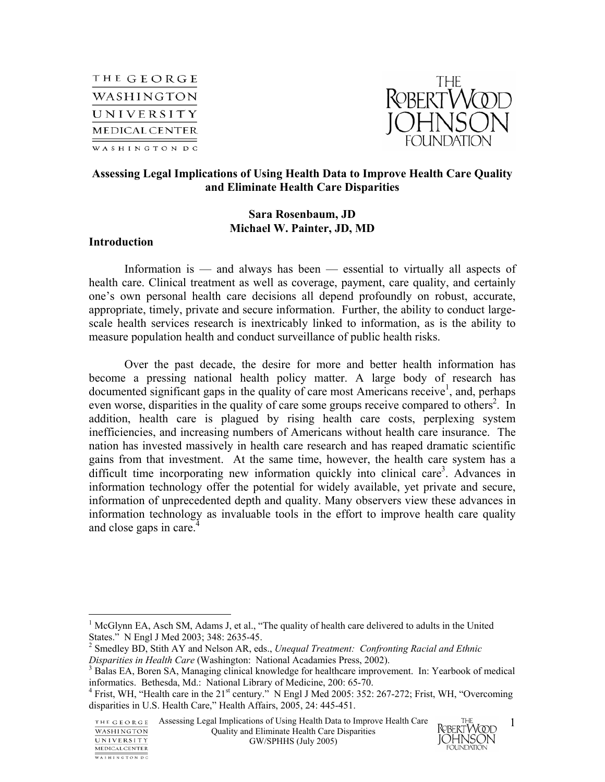



### **Assessing Legal Implications of Using Health Data to Improve Health Care Quality and Eliminate Health Care Disparities**

# **Sara Rosenbaum, JD Michael W. Painter, JD, MD**

#### **Introduction**

 $\overline{a}$ 

WASHINGTON DC

Information is — and always has been — essential to virtually all aspects of health care. Clinical treatment as well as coverage, payment, care quality, and certainly one's own personal health care decisions all depend profoundly on robust, accurate, appropriate, timely, private and secure information. Further, the ability to conduct largescale health services research is inextricably linked to information, as is the ability to measure population health and conduct surveillance of public health risks.

Over the past decade, the desire for more and better health information has become a pressing national health policy matter. A large body of research has documented significant gaps in the quality of care most Americans receive<sup>1</sup>, and, perhaps even worse, disparities in the quality of care some groups receive compared to others<sup>2</sup>. In addition, health care is plagued by rising health care costs, perplexing system inefficiencies, and increasing numbers of Americans without health care insurance. The nation has invested massively in health care research and has reaped dramatic scientific gains from that investment. At the same time, however, the health care system has a difficult time incorporating new information quickly into clinical care<sup>3</sup>. Advances in information technology offer the potential for widely available, yet private and secure, information of unprecedented depth and quality. Many observers view these advances in information technology as invaluable tools in the effort to improve health care quality and close gaps in care.<sup>4</sup>



<sup>&</sup>lt;sup>1</sup> McGlynn EA, Asch SM, Adams J, et al., "The quality of health care delivered to adults in the United States." N Engl J Med 2003; 348: 2635-45.

<sup>2</sup> Smedley BD, Stith AY and Nelson AR, eds., *Unequal Treatment: Confronting Racial and Ethnic Disparities in Health Care* (Washington: National Acadamies Press, 2002).

<sup>&</sup>lt;sup>3</sup> Balas EA, Boren SA, Managing clinical knowledge for healthcare improvement. In: Yearbook of medical informatics. Bethesda, Md.: National Library of Medicine, 200: 65-70.

<sup>&</sup>lt;sup>4</sup> Frist, WH, "Health care in the  $21<sup>st</sup>$  century." N Engl J Med 2005: 352: 267-272; Frist, WH, "Overcoming disparities in U.S. Health Care," Health Affairs, 2005, 24: 445-451.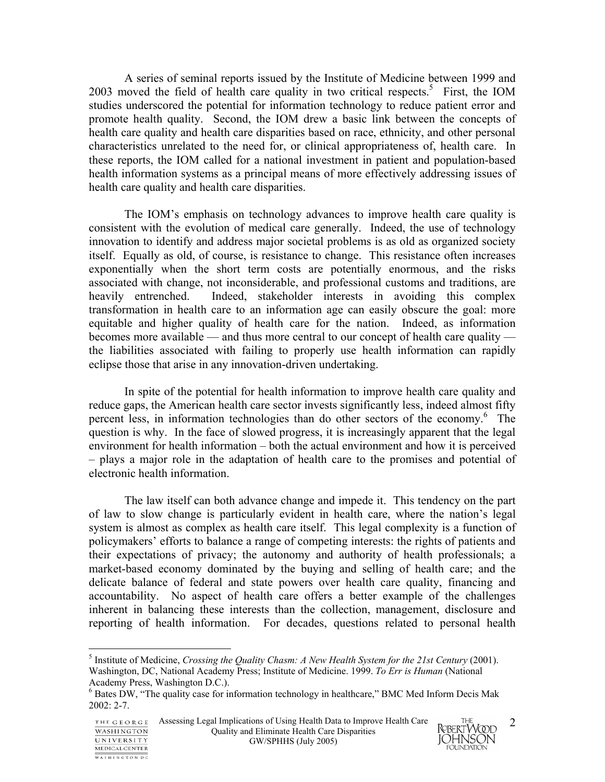A series of seminal reports issued by the Institute of Medicine between 1999 and 2003 moved the field of health care quality in two critical respects.<sup>5</sup> First, the IOM studies underscored the potential for information technology to reduce patient error and promote health quality. Second, the IOM drew a basic link between the concepts of health care quality and health care disparities based on race, ethnicity, and other personal characteristics unrelated to the need for, or clinical appropriateness of, health care. In these reports, the IOM called for a national investment in patient and population-based health information systems as a principal means of more effectively addressing issues of health care quality and health care disparities.

The IOM's emphasis on technology advances to improve health care quality is consistent with the evolution of medical care generally. Indeed, the use of technology innovation to identify and address major societal problems is as old as organized society itself. Equally as old, of course, is resistance to change. This resistance often increases exponentially when the short term costs are potentially enormous, and the risks associated with change, not inconsiderable, and professional customs and traditions, are heavily entrenched. Indeed, stakeholder interests in avoiding this complex transformation in health care to an information age can easily obscure the goal: more equitable and higher quality of health care for the nation. Indeed, as information becomes more available — and thus more central to our concept of health care quality the liabilities associated with failing to properly use health information can rapidly eclipse those that arise in any innovation-driven undertaking.

In spite of the potential for health information to improve health care quality and reduce gaps, the American health care sector invests significantly less, indeed almost fifty percent less, in information technologies than do other sectors of the economy.<sup>6</sup> The question is why. In the face of slowed progress, it is increasingly apparent that the legal environment for health information – both the actual environment and how it is perceived – plays a major role in the adaptation of health care to the promises and potential of electronic health information.

The law itself can both advance change and impede it. This tendency on the part of law to slow change is particularly evident in health care, where the nation's legal system is almost as complex as health care itself. This legal complexity is a function of policymakers' efforts to balance a range of competing interests: the rights of patients and their expectations of privacy; the autonomy and authority of health professionals; a market-based economy dominated by the buying and selling of health care; and the delicate balance of federal and state powers over health care quality, financing and accountability. No aspect of health care offers a better example of the challenges inherent in balancing these interests than the collection, management, disclosure and reporting of health information. For decades, questions related to personal health

1

WASHINGTON PC



<sup>5</sup> Institute of Medicine, *Crossing the Quality Chasm: A New Health System for the 21st Century* (2001). Washington, DC, National Academy Press; Institute of Medicine. 1999. *To Err is Human* (National Academy Press, Washington D.C.).

<sup>&</sup>lt;sup>6</sup> Bates DW, "The quality case for information technology in healthcare," BMC Med Inform Decis Mak 2002: 2-7.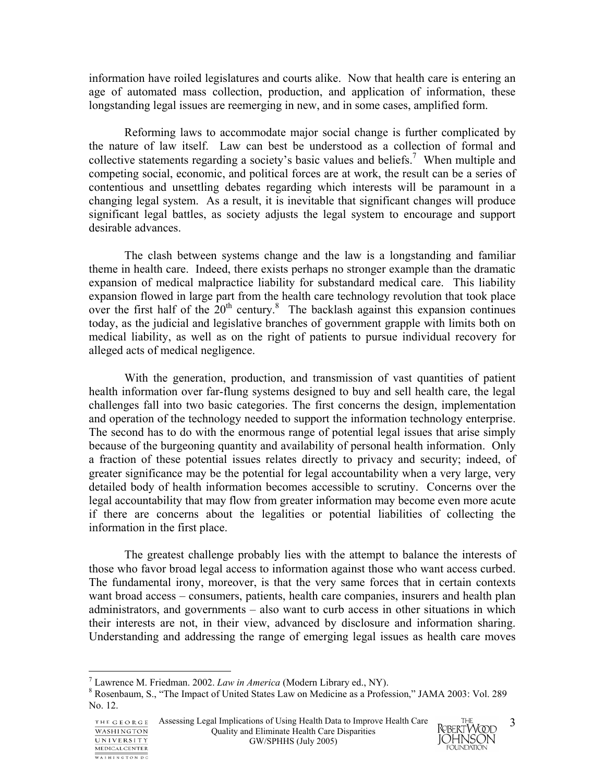information have roiled legislatures and courts alike. Now that health care is entering an age of automated mass collection, production, and application of information, these longstanding legal issues are reemerging in new, and in some cases, amplified form.

Reforming laws to accommodate major social change is further complicated by the nature of law itself. Law can best be understood as a collection of formal and collective statements regarding a society's basic values and beliefs.<sup>7</sup> When multiple and competing social, economic, and political forces are at work, the result can be a series of contentious and unsettling debates regarding which interests will be paramount in a changing legal system. As a result, it is inevitable that significant changes will produce significant legal battles, as society adjusts the legal system to encourage and support desirable advances.

The clash between systems change and the law is a longstanding and familiar theme in health care. Indeed, there exists perhaps no stronger example than the dramatic expansion of medical malpractice liability for substandard medical care. This liability expansion flowed in large part from the health care technology revolution that took place over the first half of the  $20<sup>th</sup>$  century.<sup>8</sup> The backlash against this expansion continues today, as the judicial and legislative branches of government grapple with limits both on medical liability, as well as on the right of patients to pursue individual recovery for alleged acts of medical negligence.

With the generation, production, and transmission of vast quantities of patient health information over far-flung systems designed to buy and sell health care, the legal challenges fall into two basic categories. The first concerns the design, implementation and operation of the technology needed to support the information technology enterprise. The second has to do with the enormous range of potential legal issues that arise simply because of the burgeoning quantity and availability of personal health information. Only a fraction of these potential issues relates directly to privacy and security; indeed, of greater significance may be the potential for legal accountability when a very large, very detailed body of health information becomes accessible to scrutiny. Concerns over the legal accountability that may flow from greater information may become even more acute if there are concerns about the legalities or potential liabilities of collecting the information in the first place.

The greatest challenge probably lies with the attempt to balance the interests of those who favor broad legal access to information against those who want access curbed. The fundamental irony, moreover, is that the very same forces that in certain contexts want broad access – consumers, patients, health care companies, insurers and health plan administrators, and governments – also want to curb access in other situations in which their interests are not, in their view, advanced by disclosure and information sharing. Understanding and addressing the range of emerging legal issues as health care moves

 $\overline{a}$ 

WASHINGTON DC



Lawrence M. Friedman. 2002. *Law in America* (Modern Library ed., NY).

Rosenbaum, S., "The Impact of United States Law on Medicine as a Profession," JAMA 2003: Vol. 289 No. 12.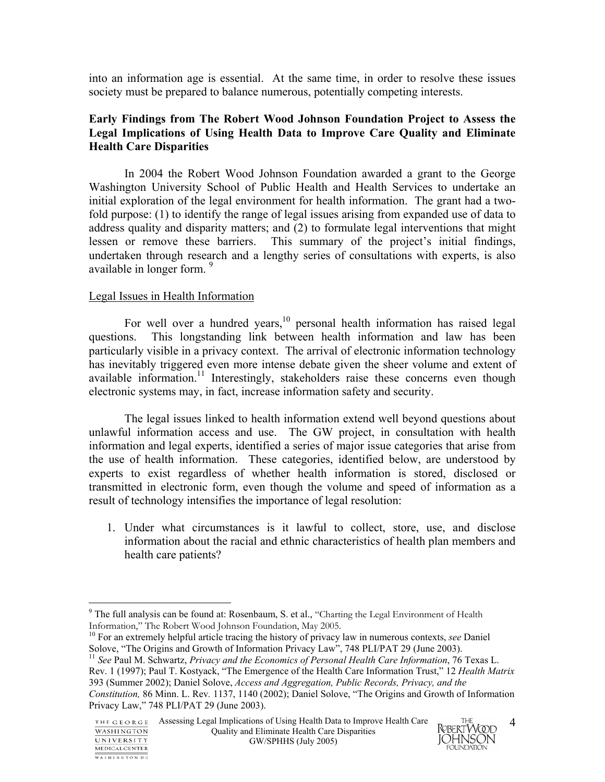into an information age is essential. At the same time, in order to resolve these issues society must be prepared to balance numerous, potentially competing interests.

# **Early Findings from The Robert Wood Johnson Foundation Project to Assess the Legal Implications of Using Health Data to Improve Care Quality and Eliminate Health Care Disparities**

In 2004 the Robert Wood Johnson Foundation awarded a grant to the George Washington University School of Public Health and Health Services to undertake an initial exploration of the legal environment for health information. The grant had a twofold purpose: (1) to identify the range of legal issues arising from expanded use of data to address quality and disparity matters; and (2) to formulate legal interventions that might lessen or remove these barriers. This summary of the project's initial findings, undertaken through research and a lengthy series of consultations with experts, is also available in longer form.<sup>9</sup>

# Legal Issues in Health Information

1

WASHINGTON DC

For well over a hundred years,<sup>10</sup> personal health information has raised legal questions. This longstanding link between health information and law has been particularly visible in a privacy context. The arrival of electronic information technology has inevitably triggered even more intense debate given the sheer volume and extent of available information.<sup>11</sup> Interestingly, stakeholders raise these concerns even though electronic systems may, in fact, increase information safety and security.

 The legal issues linked to health information extend well beyond questions about unlawful information access and use. The GW project, in consultation with health information and legal experts, identified a series of major issue categories that arise from the use of health information. These categories, identified below, are understood by experts to exist regardless of whether health information is stored, disclosed or transmitted in electronic form, even though the volume and speed of information as a result of technology intensifies the importance of legal resolution:

1. Under what circumstances is it lawful to collect, store, use, and disclose information about the racial and ethnic characteristics of health plan members and health care patients?



 $9$  The full analysis can be found at: Rosenbaum, S. et al., "Charting the Legal Environment of Health Information," The Robert Wood Johnson Foundation, May 2005.

<sup>10</sup> For an extremely helpful article tracing the history of privacy law in numerous contexts, *see* Daniel Solove, "The Origins and Growth of Information Privacy Law", 748 PLI/PAT 29 (June 2003).

<sup>11</sup> *See* Paul M. Schwartz, *Privacy and the Economics of Personal Health Care Information*, 76 Texas L. Rev. 1 (1997); Paul T. Kostyack, "The Emergence of the Health Care Information Trust," 12 *Health Matrix*  393 (Summer 2002); Daniel Solove, *Access and Aggregation, Public Records, Privacy, and the* 

*Constitution,* 86 Minn. L. Rev*.* 1137, 1140 (2002); Daniel Solove, "The Origins and Growth of Information Privacy Law," 748 PLI/PAT 29 (June 2003).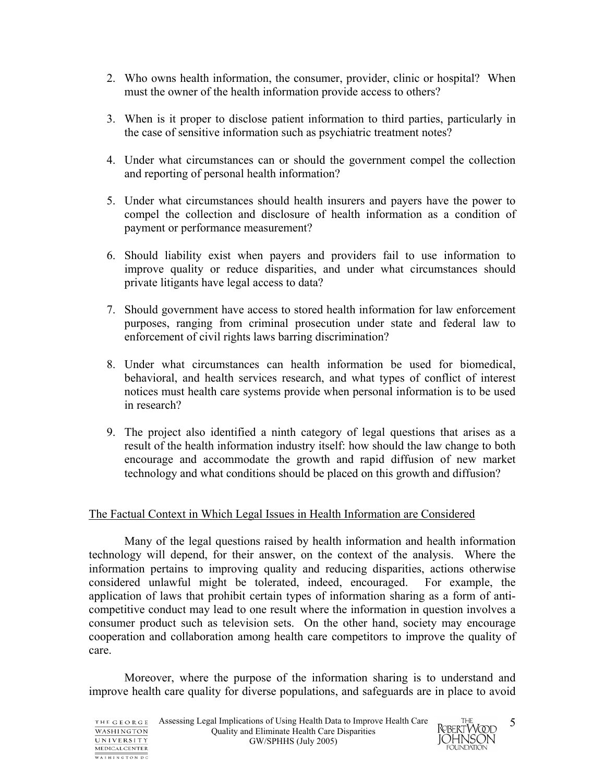- 2. Who owns health information, the consumer, provider, clinic or hospital? When must the owner of the health information provide access to others?
- 3. When is it proper to disclose patient information to third parties, particularly in the case of sensitive information such as psychiatric treatment notes?
- 4. Under what circumstances can or should the government compel the collection and reporting of personal health information?
- 5. Under what circumstances should health insurers and payers have the power to compel the collection and disclosure of health information as a condition of payment or performance measurement?
- 6. Should liability exist when payers and providers fail to use information to improve quality or reduce disparities, and under what circumstances should private litigants have legal access to data?
- 7. Should government have access to stored health information for law enforcement purposes, ranging from criminal prosecution under state and federal law to enforcement of civil rights laws barring discrimination?
- 8. Under what circumstances can health information be used for biomedical, behavioral, and health services research, and what types of conflict of interest notices must health care systems provide when personal information is to be used in research?
- 9. The project also identified a ninth category of legal questions that arises as a result of the health information industry itself: how should the law change to both encourage and accommodate the growth and rapid diffusion of new market technology and what conditions should be placed on this growth and diffusion?

# The Factual Context in Which Legal Issues in Health Information are Considered

 Many of the legal questions raised by health information and health information technology will depend, for their answer, on the context of the analysis. Where the information pertains to improving quality and reducing disparities, actions otherwise considered unlawful might be tolerated, indeed, encouraged. For example, the application of laws that prohibit certain types of information sharing as a form of anticompetitive conduct may lead to one result where the information in question involves a consumer product such as television sets. On the other hand, society may encourage cooperation and collaboration among health care competitors to improve the quality of care.

 Moreover, where the purpose of the information sharing is to understand and improve health care quality for diverse populations, and safeguards are in place to avoid

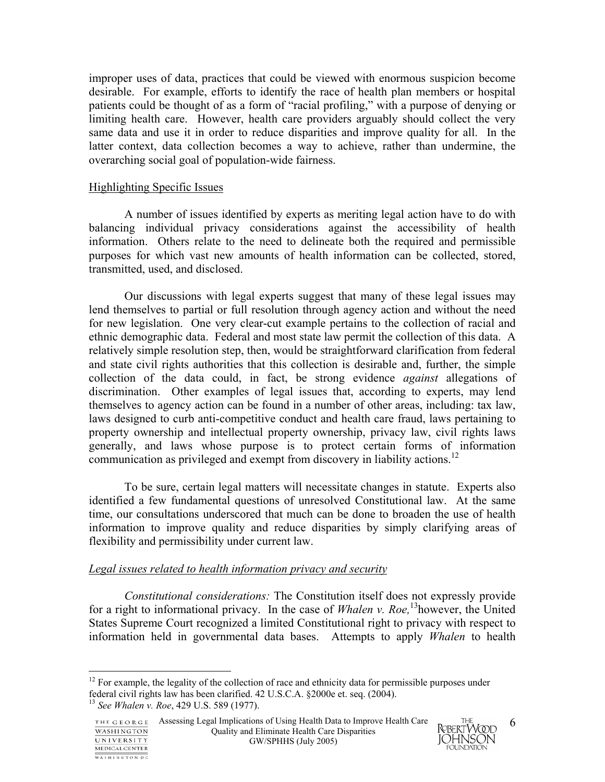improper uses of data, practices that could be viewed with enormous suspicion become desirable. For example, efforts to identify the race of health plan members or hospital patients could be thought of as a form of "racial profiling," with a purpose of denying or limiting health care. However, health care providers arguably should collect the very same data and use it in order to reduce disparities and improve quality for all. In the latter context, data collection becomes a way to achieve, rather than undermine, the overarching social goal of population-wide fairness.

### Highlighting Specific Issues

A number of issues identified by experts as meriting legal action have to do with balancing individual privacy considerations against the accessibility of health information. Others relate to the need to delineate both the required and permissible purposes for which vast new amounts of health information can be collected, stored, transmitted, used, and disclosed.

Our discussions with legal experts suggest that many of these legal issues may lend themselves to partial or full resolution through agency action and without the need for new legislation. One very clear-cut example pertains to the collection of racial and ethnic demographic data. Federal and most state law permit the collection of this data. A relatively simple resolution step, then, would be straightforward clarification from federal and state civil rights authorities that this collection is desirable and, further, the simple collection of the data could, in fact, be strong evidence *against* allegations of discrimination. Other examples of legal issues that, according to experts, may lend themselves to agency action can be found in a number of other areas, including: tax law, laws designed to curb anti-competitive conduct and health care fraud, laws pertaining to property ownership and intellectual property ownership, privacy law, civil rights laws generally, and laws whose purpose is to protect certain forms of information communication as privileged and exempt from discovery in liability actions.<sup>12</sup>

To be sure, certain legal matters will necessitate changes in statute. Experts also identified a few fundamental questions of unresolved Constitutional law. At the same time, our consultations underscored that much can be done to broaden the use of health information to improve quality and reduce disparities by simply clarifying areas of flexibility and permissibility under current law.

### *Legal issues related to health information privacy and security*

*Constitutional considerations:* The Constitution itself does not expressly provide for a right to informational privacy. In the case of *Whalen v. Roe,*13however, the United States Supreme Court recognized a limited Constitutional right to privacy with respect to information held in governmental data bases. Attempts to apply *Whalen* to health



<sup>1</sup>  $12$  For example, the legality of the collection of race and ethnicity data for permissible purposes under federal civil rights law has been clarified. 42 U.S.C.A. §2000e et. seq. (2004). <sup>13</sup> *See Whalen v. Roe*, 429 U.S. 589 (1977).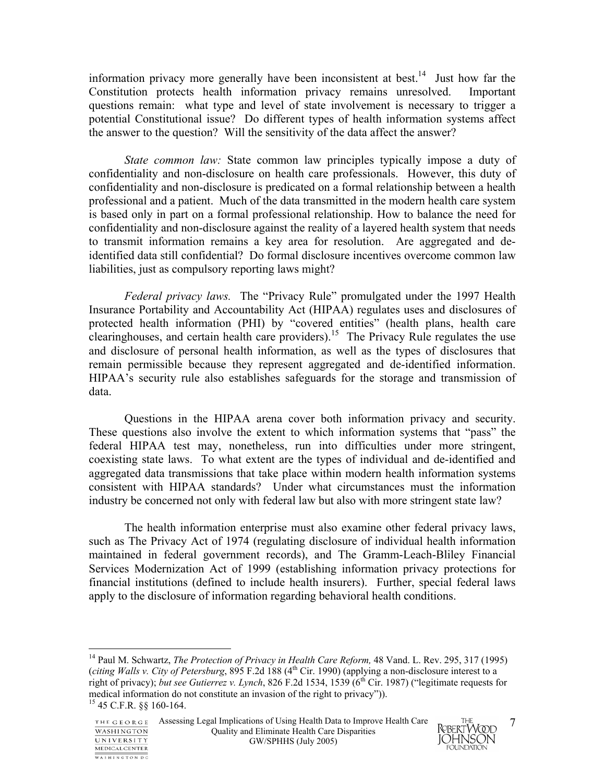information privacy more generally have been inconsistent at best.14 Just how far the Constitution protects health information privacy remains unresolved. Important questions remain: what type and level of state involvement is necessary to trigger a potential Constitutional issue? Do different types of health information systems affect the answer to the question? Will the sensitivity of the data affect the answer?

*State common law:* State common law principles typically impose a duty of confidentiality and non-disclosure on health care professionals. However, this duty of confidentiality and non-disclosure is predicated on a formal relationship between a health professional and a patient. Much of the data transmitted in the modern health care system is based only in part on a formal professional relationship. How to balance the need for confidentiality and non-disclosure against the reality of a layered health system that needs to transmit information remains a key area for resolution. Are aggregated and deidentified data still confidential? Do formal disclosure incentives overcome common law liabilities, just as compulsory reporting laws might?

*Federal privacy laws.* The "Privacy Rule" promulgated under the 1997 Health Insurance Portability and Accountability Act (HIPAA) regulates uses and disclosures of protected health information (PHI) by "covered entities" (health plans, health care clearinghouses, and certain health care providers).<sup>15</sup> The Privacy Rule regulates the use and disclosure of personal health information, as well as the types of disclosures that remain permissible because they represent aggregated and de-identified information. HIPAA's security rule also establishes safeguards for the storage and transmission of data.

 Questions in the HIPAA arena cover both information privacy and security. These questions also involve the extent to which information systems that "pass" the federal HIPAA test may, nonetheless, run into difficulties under more stringent, coexisting state laws. To what extent are the types of individual and de-identified and aggregated data transmissions that take place within modern health information systems consistent with HIPAA standards? Under what circumstances must the information industry be concerned not only with federal law but also with more stringent state law?

The health information enterprise must also examine other federal privacy laws, such as The Privacy Act of 1974 (regulating disclosure of individual health information maintained in federal government records), and The Gramm-Leach-Bliley Financial Services Modernization Act of 1999 (establishing information privacy protections for financial institutions (defined to include health insurers). Further, special federal laws apply to the disclosure of information regarding behavioral health conditions.

 $\overline{a}$ 



<sup>&</sup>lt;sup>14</sup> Paul M. Schwartz, *The Protection of Privacy in Health Care Reform*, 48 Vand. L. Rev. 295, 317 (1995) (*citing Walls v. City of Petersburg*, 895 F.2d 188 (4<sup>th</sup> Cir. 1990) (applying a non-disclosure interest to a right of privacy); *but see Gutierrez v. Lynch*, 826 F.2d 1534, 1539 (6th Cir. 1987) ("legitimate requests for medical information do not constitute an invasion of the right to privacy")). 15 45 C.F.R. §§ 160-164.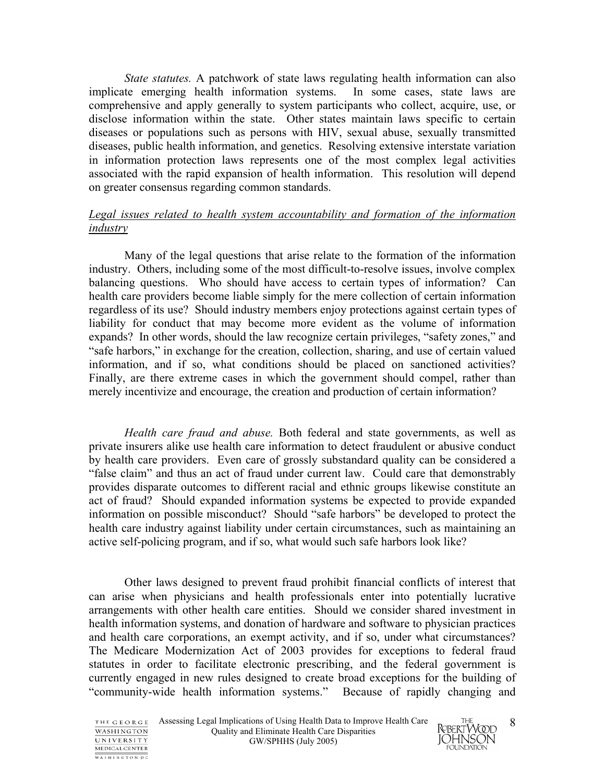*State statutes.* A patchwork of state laws regulating health information can also implicate emerging health information systems. In some cases, state laws are comprehensive and apply generally to system participants who collect, acquire, use, or disclose information within the state. Other states maintain laws specific to certain diseases or populations such as persons with HIV, sexual abuse, sexually transmitted diseases, public health information, and genetics. Resolving extensive interstate variation in information protection laws represents one of the most complex legal activities associated with the rapid expansion of health information. This resolution will depend on greater consensus regarding common standards.

### *Legal issues related to health system accountability and formation of the information industry*

 Many of the legal questions that arise relate to the formation of the information industry. Others, including some of the most difficult-to-resolve issues, involve complex balancing questions. Who should have access to certain types of information? Can health care providers become liable simply for the mere collection of certain information regardless of its use? Should industry members enjoy protections against certain types of liability for conduct that may become more evident as the volume of information expands? In other words, should the law recognize certain privileges, "safety zones," and "safe harbors," in exchange for the creation, collection, sharing, and use of certain valued information, and if so, what conditions should be placed on sanctioned activities? Finally, are there extreme cases in which the government should compel, rather than merely incentivize and encourage, the creation and production of certain information?

*Health care fraud and abuse.* Both federal and state governments, as well as private insurers alike use health care information to detect fraudulent or abusive conduct by health care providers. Even care of grossly substandard quality can be considered a "false claim" and thus an act of fraud under current law. Could care that demonstrably provides disparate outcomes to different racial and ethnic groups likewise constitute an act of fraud? Should expanded information systems be expected to provide expanded information on possible misconduct? Should "safe harbors" be developed to protect the health care industry against liability under certain circumstances, such as maintaining an active self-policing program, and if so, what would such safe harbors look like?

 Other laws designed to prevent fraud prohibit financial conflicts of interest that can arise when physicians and health professionals enter into potentially lucrative arrangements with other health care entities. Should we consider shared investment in health information systems, and donation of hardware and software to physician practices and health care corporations, an exempt activity, and if so, under what circumstances? The Medicare Modernization Act of 2003 provides for exceptions to federal fraud statutes in order to facilitate electronic prescribing, and the federal government is currently engaged in new rules designed to create broad exceptions for the building of "community-wide health information systems." Because of rapidly changing and



8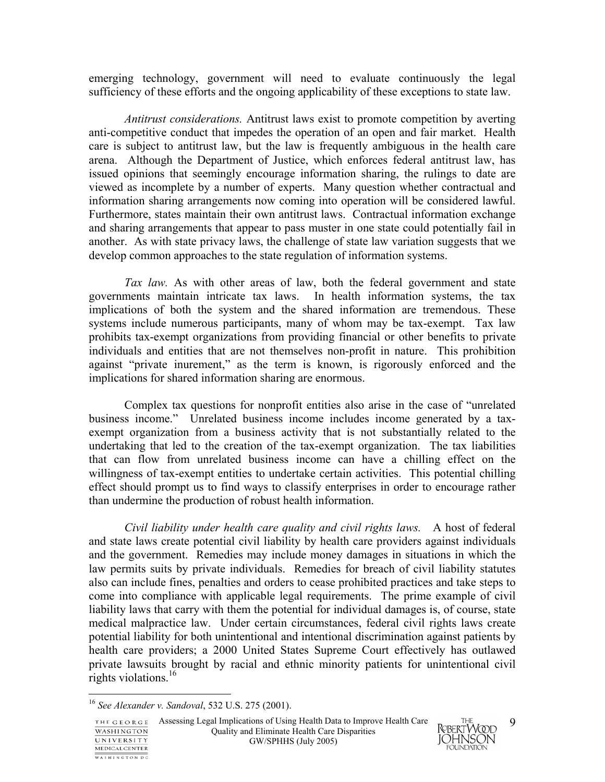emerging technology, government will need to evaluate continuously the legal sufficiency of these efforts and the ongoing applicability of these exceptions to state law.

*Antitrust considerations.* Antitrust laws exist to promote competition by averting anti-competitive conduct that impedes the operation of an open and fair market. Health care is subject to antitrust law, but the law is frequently ambiguous in the health care arena. Although the Department of Justice, which enforces federal antitrust law, has issued opinions that seemingly encourage information sharing, the rulings to date are viewed as incomplete by a number of experts. Many question whether contractual and information sharing arrangements now coming into operation will be considered lawful. Furthermore, states maintain their own antitrust laws. Contractual information exchange and sharing arrangements that appear to pass muster in one state could potentially fail in another. As with state privacy laws, the challenge of state law variation suggests that we develop common approaches to the state regulation of information systems.

*Tax law.* As with other areas of law, both the federal government and state governments maintain intricate tax laws. In health information systems, the tax implications of both the system and the shared information are tremendous. These systems include numerous participants, many of whom may be tax-exempt. Tax law prohibits tax-exempt organizations from providing financial or other benefits to private individuals and entities that are not themselves non-profit in nature. This prohibition against "private inurement," as the term is known, is rigorously enforced and the implications for shared information sharing are enormous.

 Complex tax questions for nonprofit entities also arise in the case of "unrelated business income." Unrelated business income includes income generated by a taxexempt organization from a business activity that is not substantially related to the undertaking that led to the creation of the tax-exempt organization. The tax liabilities that can flow from unrelated business income can have a chilling effect on the willingness of tax-exempt entities to undertake certain activities. This potential chilling effect should prompt us to find ways to classify enterprises in order to encourage rather than undermine the production of robust health information.

*Civil liability under health care quality and civil rights laws.* A host of federal and state laws create potential civil liability by health care providers against individuals and the government. Remedies may include money damages in situations in which the law permits suits by private individuals. Remedies for breach of civil liability statutes also can include fines, penalties and orders to cease prohibited practices and take steps to come into compliance with applicable legal requirements. The prime example of civil liability laws that carry with them the potential for individual damages is, of course, state medical malpractice law. Under certain circumstances, federal civil rights laws create potential liability for both unintentional and intentional discrimination against patients by health care providers; a 2000 United States Supreme Court effectively has outlawed private lawsuits brought by racial and ethnic minority patients for unintentional civil rights violations.16

<u>.</u>

WASHINGTON DC



<sup>16</sup> *See Alexander v. Sandoval*, 532 U.S. 275 (2001).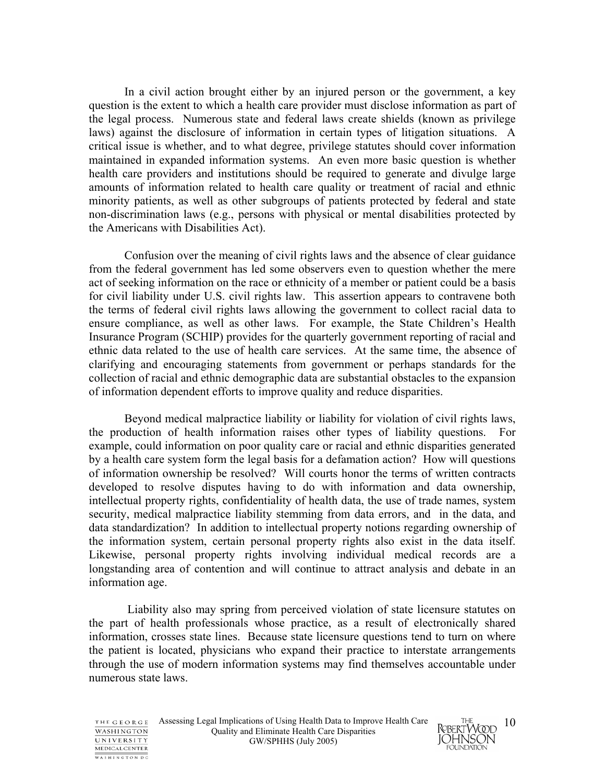In a civil action brought either by an injured person or the government, a key question is the extent to which a health care provider must disclose information as part of the legal process. Numerous state and federal laws create shields (known as privilege laws) against the disclosure of information in certain types of litigation situations. A critical issue is whether, and to what degree, privilege statutes should cover information maintained in expanded information systems. An even more basic question is whether health care providers and institutions should be required to generate and divulge large amounts of information related to health care quality or treatment of racial and ethnic minority patients, as well as other subgroups of patients protected by federal and state non-discrimination laws (e.g., persons with physical or mental disabilities protected by the Americans with Disabilities Act).

Confusion over the meaning of civil rights laws and the absence of clear guidance from the federal government has led some observers even to question whether the mere act of seeking information on the race or ethnicity of a member or patient could be a basis for civil liability under U.S. civil rights law. This assertion appears to contravene both the terms of federal civil rights laws allowing the government to collect racial data to ensure compliance, as well as other laws. For example, the State Children's Health Insurance Program (SCHIP) provides for the quarterly government reporting of racial and ethnic data related to the use of health care services. At the same time, the absence of clarifying and encouraging statements from government or perhaps standards for the collection of racial and ethnic demographic data are substantial obstacles to the expansion of information dependent efforts to improve quality and reduce disparities.

Beyond medical malpractice liability or liability for violation of civil rights laws, the production of health information raises other types of liability questions. For example, could information on poor quality care or racial and ethnic disparities generated by a health care system form the legal basis for a defamation action? How will questions of information ownership be resolved? Will courts honor the terms of written contracts developed to resolve disputes having to do with information and data ownership, intellectual property rights, confidentiality of health data, the use of trade names, system security, medical malpractice liability stemming from data errors, and in the data, and data standardization? In addition to intellectual property notions regarding ownership of the information system, certain personal property rights also exist in the data itself. Likewise, personal property rights involving individual medical records are a longstanding area of contention and will continue to attract analysis and debate in an information age.

 Liability also may spring from perceived violation of state licensure statutes on the part of health professionals whose practice, as a result of electronically shared information, crosses state lines. Because state licensure questions tend to turn on where the patient is located, physicians who expand their practice to interstate arrangements through the use of modern information systems may find themselves accountable under numerous state laws.

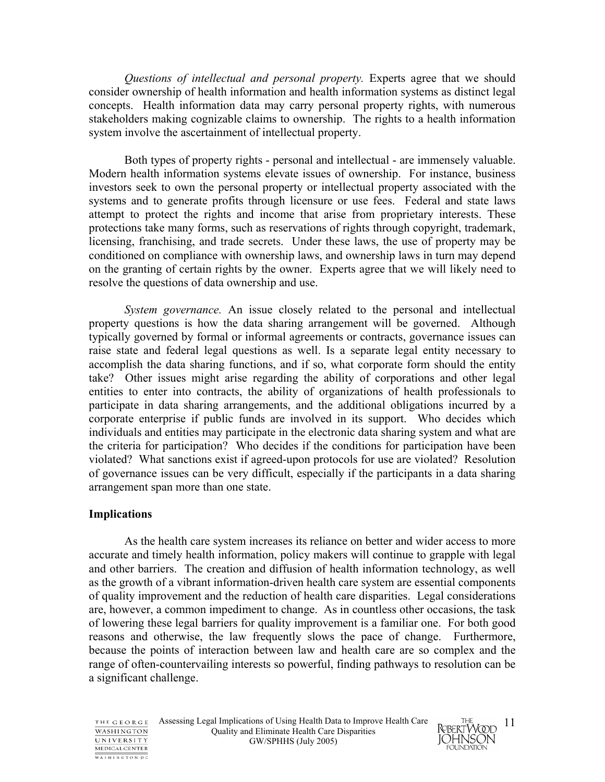*Questions of intellectual and personal property.* Experts agree that we should consider ownership of health information and health information systems as distinct legal concepts. Health information data may carry personal property rights, with numerous stakeholders making cognizable claims to ownership. The rights to a health information system involve the ascertainment of intellectual property.

Both types of property rights - personal and intellectual - are immensely valuable. Modern health information systems elevate issues of ownership. For instance, business investors seek to own the personal property or intellectual property associated with the systems and to generate profits through licensure or use fees. Federal and state laws attempt to protect the rights and income that arise from proprietary interests. These protections take many forms, such as reservations of rights through copyright, trademark, licensing, franchising, and trade secrets. Under these laws, the use of property may be conditioned on compliance with ownership laws, and ownership laws in turn may depend on the granting of certain rights by the owner. Experts agree that we will likely need to resolve the questions of data ownership and use.

*System governance.* An issue closely related to the personal and intellectual property questions is how the data sharing arrangement will be governed. Although typically governed by formal or informal agreements or contracts, governance issues can raise state and federal legal questions as well. Is a separate legal entity necessary to accomplish the data sharing functions, and if so, what corporate form should the entity take? Other issues might arise regarding the ability of corporations and other legal entities to enter into contracts, the ability of organizations of health professionals to participate in data sharing arrangements, and the additional obligations incurred by a corporate enterprise if public funds are involved in its support. Who decides which individuals and entities may participate in the electronic data sharing system and what are the criteria for participation? Who decides if the conditions for participation have been violated? What sanctions exist if agreed-upon protocols for use are violated? Resolution of governance issues can be very difficult, especially if the participants in a data sharing arrangement span more than one state.

### **Implications**

As the health care system increases its reliance on better and wider access to more accurate and timely health information, policy makers will continue to grapple with legal and other barriers. The creation and diffusion of health information technology, as well as the growth of a vibrant information-driven health care system are essential components of quality improvement and the reduction of health care disparities. Legal considerations are, however, a common impediment to change. As in countless other occasions, the task of lowering these legal barriers for quality improvement is a familiar one. For both good reasons and otherwise, the law frequently slows the pace of change. Furthermore, because the points of interaction between law and health care are so complex and the range of often-countervailing interests so powerful, finding pathways to resolution can be a significant challenge.

THE GEORGE **WASHINGTON** UNIVERSITY MEDICAL CENTER WASHINGTON DC

Assessing Legal Implications of Using Health Data to Improve Health Care Quality and Eliminate Health Care Disparities GW/SPHHS (July 2005)

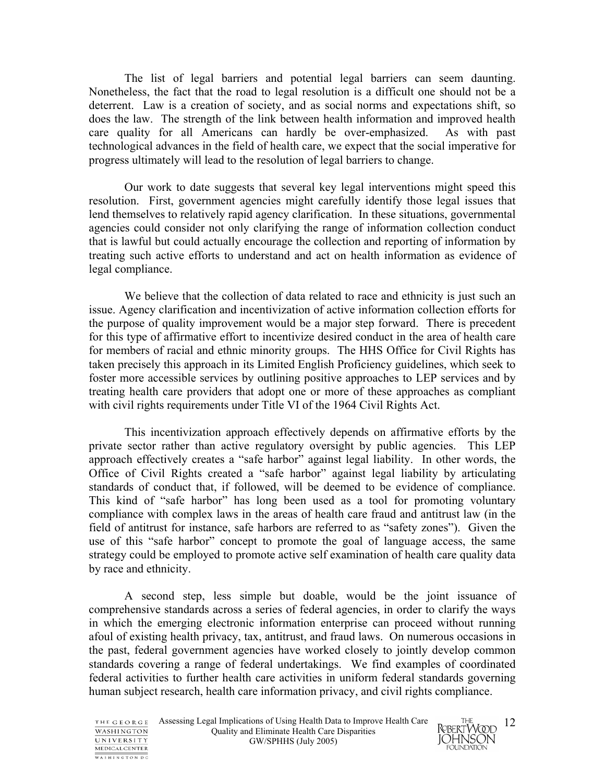The list of legal barriers and potential legal barriers can seem daunting. Nonetheless, the fact that the road to legal resolution is a difficult one should not be a deterrent. Law is a creation of society, and as social norms and expectations shift, so does the law. The strength of the link between health information and improved health care quality for all Americans can hardly be over-emphasized. As with past technological advances in the field of health care, we expect that the social imperative for progress ultimately will lead to the resolution of legal barriers to change.

Our work to date suggests that several key legal interventions might speed this resolution. First, government agencies might carefully identify those legal issues that lend themselves to relatively rapid agency clarification. In these situations, governmental agencies could consider not only clarifying the range of information collection conduct that is lawful but could actually encourage the collection and reporting of information by treating such active efforts to understand and act on health information as evidence of legal compliance.

We believe that the collection of data related to race and ethnicity is just such an issue. Agency clarification and incentivization of active information collection efforts for the purpose of quality improvement would be a major step forward. There is precedent for this type of affirmative effort to incentivize desired conduct in the area of health care for members of racial and ethnic minority groups. The HHS Office for Civil Rights has taken precisely this approach in its Limited English Proficiency guidelines, which seek to foster more accessible services by outlining positive approaches to LEP services and by treating health care providers that adopt one or more of these approaches as compliant with civil rights requirements under Title VI of the 1964 Civil Rights Act.

This incentivization approach effectively depends on affirmative efforts by the private sector rather than active regulatory oversight by public agencies. This LEP approach effectively creates a "safe harbor" against legal liability. In other words, the Office of Civil Rights created a "safe harbor" against legal liability by articulating standards of conduct that, if followed, will be deemed to be evidence of compliance. This kind of "safe harbor" has long been used as a tool for promoting voluntary compliance with complex laws in the areas of health care fraud and antitrust law (in the field of antitrust for instance, safe harbors are referred to as "safety zones"). Given the use of this "safe harbor" concept to promote the goal of language access, the same strategy could be employed to promote active self examination of health care quality data by race and ethnicity.

A second step, less simple but doable, would be the joint issuance of comprehensive standards across a series of federal agencies, in order to clarify the ways in which the emerging electronic information enterprise can proceed without running afoul of existing health privacy, tax, antitrust, and fraud laws. On numerous occasions in the past, federal government agencies have worked closely to jointly develop common standards covering a range of federal undertakings. We find examples of coordinated federal activities to further health care activities in uniform federal standards governing human subject research, health care information privacy, and civil rights compliance.